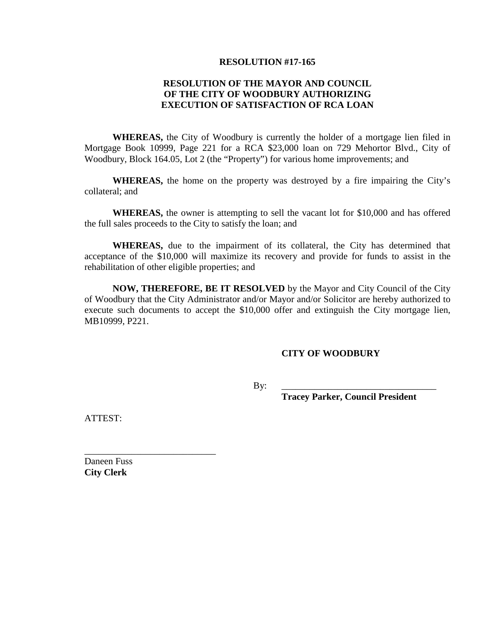## **RESOLUTION #17-165**

## **RESOLUTION OF THE MAYOR AND COUNCIL OF THE CITY OF WOODBURY AUTHORIZING EXECUTION OF SATISFACTION OF RCA LOAN**

**WHEREAS,** the City of Woodbury is currently the holder of a mortgage lien filed in Mortgage Book 10999, Page 221 for a RCA \$23,000 loan on 729 Mehortor Blvd., City of Woodbury, Block 164.05, Lot 2 (the "Property") for various home improvements; and

**WHEREAS,** the home on the property was destroyed by a fire impairing the City's collateral; and

**WHEREAS,** the owner is attempting to sell the vacant lot for \$10,000 and has offered the full sales proceeds to the City to satisfy the loan; and

**WHEREAS,** due to the impairment of its collateral, the City has determined that acceptance of the \$10,000 will maximize its recovery and provide for funds to assist in the rehabilitation of other eligible properties; and

**NOW, THEREFORE, BE IT RESOLVED** by the Mayor and City Council of the City of Woodbury that the City Administrator and/or Mayor and/or Solicitor are hereby authorized to execute such documents to accept the \$10,000 offer and extinguish the City mortgage lien, MB10999, P221.

## **CITY OF WOODBURY**

By: \_\_\_\_\_\_\_\_\_\_\_\_\_\_\_\_\_\_\_\_\_\_\_\_\_\_\_\_\_\_\_\_\_

**Tracey Parker, Council President**

ATTEST:

Daneen Fuss **City Clerk**

\_\_\_\_\_\_\_\_\_\_\_\_\_\_\_\_\_\_\_\_\_\_\_\_\_\_\_\_